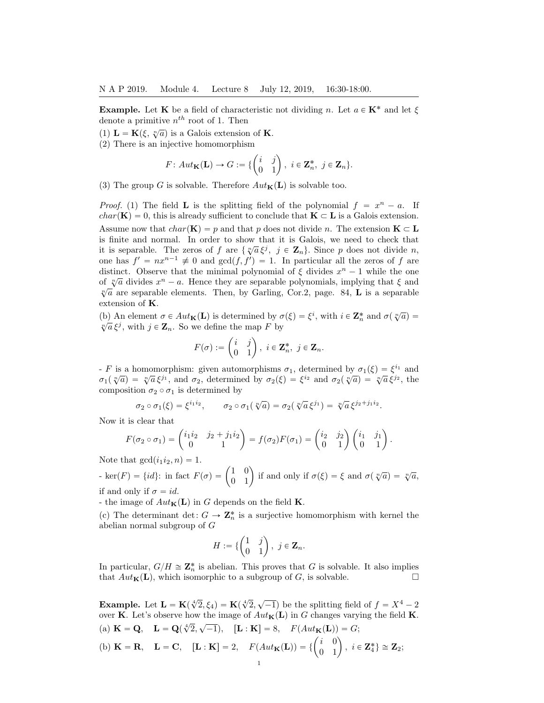**Example.** Let **K** be a field of characteristic not dividing n. Let  $a \in \mathbf{K}^*$  and let  $\xi$ denote a primitive  $n^{th}$  root of 1. Then

- (1)  $\mathbf{L} = \mathbf{K}(\xi, \sqrt[n]{a})$  is a Galois extension of **K**.
- (2) There is an injective homomorphism

$$
F: Aut_{\mathbf{K}}(\mathbf{L}) \to G := \{ \begin{pmatrix} i & j \\ 0 & 1 \end{pmatrix}, i \in \mathbf{Z}_n^*, j \in \mathbf{Z}_n \}.
$$

(3) The group G is solvable. Therefore  $Aut_{\mathbf{K}}(\mathbf{L})$  is solvable too.

*Proof.* (1) The field **L** is the splitting field of the polynomial  $f = x^n - a$ . If  $char(\mathbf{K}) = 0$ , this is already sufficient to conclude that  $\mathbf{K} \subset \mathbf{L}$  is a Galois extension. Assume now that  $char(\mathbf{K}) = p$  and that p does not divide n. The extension  $\mathbf{K} \subset \mathbf{L}$ is finite and normal. In order to show that it is Galois, we need to check that is finite and normal. In order to show that it is clatos, we need to encer that it is separable. The zeros of f are  $\{\sqrt[n]{a}\xi^j, j \in \mathbb{Z}_n\}$ . Since p does not divide n, one has  $f' = nx^{n-1} \neq 0$  and  $gcd(f, f') = 1$ . In particular all the zeros of f are distinct. Observe that the minimal polynomial of  $\xi$  divides  $x^n - 1$  while the one of  $\sqrt[n]{a}$  divides  $x^n - a$ . Hence they are separable polynomials, implying that  $\xi$  and  $\sqrt[n]{a}$  are separable elements. Then, by Garling, Cor.2, page. 84, **L** is a separable extension of K.

(b) An element  $\sigma \in Aut_{\mathbf{K}}(\mathbf{L})$  is determined by  $\sigma(\xi) = \xi^i$ , with  $i \in \mathbf{Z}_n^*$  and  $\sigma(\sqrt[n]{a}) =$ (b) An element  $o \in \text{Aut}_{\mathbf{K}}(\mathbf{L})$  is determined by  $o$ <br> $\sqrt[n]{a} \xi^j$ , with  $j \in \mathbf{Z}_n$ . So we define the map F by

$$
F(\sigma) := \begin{pmatrix} i & j \\ 0 & 1 \end{pmatrix}, \ i \in \mathbf{Z}_n^*, \ j \in \mathbf{Z}_n.
$$

- F is a homomorphism: given automorphisms  $\sigma_1$ , determined by  $\sigma_1(\xi) = \xi^{i_1}$  and  $\sigma_1(\sqrt[n]{a}) = \sqrt[n]{a} \xi^{j_1}$ , and  $\sigma_2$ , determined by  $\sigma_2(\xi) = \xi^{i_2}$  and  $\sigma_2(\sqrt[n]{a}) = \sqrt[n]{a} \xi^{j_2}$ , the composition  $\sigma_2 \circ \sigma_1$  is determined by

$$
\sigma_2 \circ \sigma_1(\xi) = \xi^{i_1 i_2}, \qquad \sigma_2 \circ \sigma_1(\sqrt[n]{a}) = \sigma_2(\sqrt[n]{a} \xi^{j_1}) = \sqrt[n]{a} \xi^{j_2 + j_1 i_2}.
$$

Now it is clear that  
\n
$$
F(\sigma_2 \circ \sigma_1) = \begin{pmatrix} i_1 i_2 & j_2 + j_1 i_2 \\ 0 & 1 \end{pmatrix} = f(\sigma_2) F(\sigma_1) = \begin{pmatrix} i_2 & j_2 \\ 0 & 1 \end{pmatrix} \begin{pmatrix} i_1 & j_1 \\ 0 & 1 \end{pmatrix}.
$$

Note that  $gcd(i_1i_2, n) = 1$ .

Note that  $gcd(i_1 i_2, n) = 1$ .<br>
- ker(F) = {*id*}: in fact  $F(\sigma) = \begin{pmatrix} 1 & 0 \\ 0 & 1 \end{pmatrix}$  $\begin{pmatrix} 1 & 0 \\ 0 & 1 \end{pmatrix}$  if and only if  $\sigma(\xi) = \xi$  and  $\sigma(\sqrt[n]{a}) = \sqrt[n]{a}$ , if and only if  $\sigma = id$ .

- the image of  $Aut_{\mathbf{K}}(\mathbf{L})$  in G depends on the field **K**.

(c) The determinant det:  $G \to \mathbb{Z}_n^*$  is a surjective homomorphism with kernel the abelian normal subgroup of G

$$
H := \{ \begin{pmatrix} 1 & j \\ 0 & 1 \end{pmatrix}, j \in \mathbf{Z}_n.
$$

In particular,  $G/H \cong \mathbb{Z}_n^*$  is abelian. This proves that G is solvable. It also implies that  $Aut_{\mathbf{K}}(\mathbf{L})$ , which isomorphic to a subgroup of G, is solvable.

**Example.** Let  $\mathbf{L} = \mathbf{K}(\sqrt[4]{2}, \xi_4) = \mathbf{K}(\sqrt[4]{2}, \sqrt{-1})$  be the splitting field of  $f = X^4 - 2$ over **K**. Let's observe how the image of  $Aut_{\mathbf{K}}(\mathbf{L})$  in G changes varying the field **K**.  $\sqrt{1}$   $\sqrt{1}$ 

(a) 
$$
\mathbf{K} = \mathbf{Q}
$$
,  $\mathbf{L} = \mathbf{Q}(\sqrt[4]{2}, \sqrt{-1})$ ,  $[\mathbf{L} : \mathbf{K}] = 8$ ,  $F(Aut_{\mathbf{K}}(\mathbf{L})) = G$ ;  
(b)  $\mathbf{K} = \mathbf{R}$ ,  $\mathbf{L} = \mathbf{C}$ ,  $[\mathbf{L} : \mathbf{K}] = 2$ ,  $F(Aut_{\mathbf{K}}(\mathbf{L})) = \left\{ \begin{pmatrix} i & 0 \\ 0 & 1 \end{pmatrix}, i \in \mathbf{Z}_4^* \right\} \cong \mathbf{Z}_2$ ;